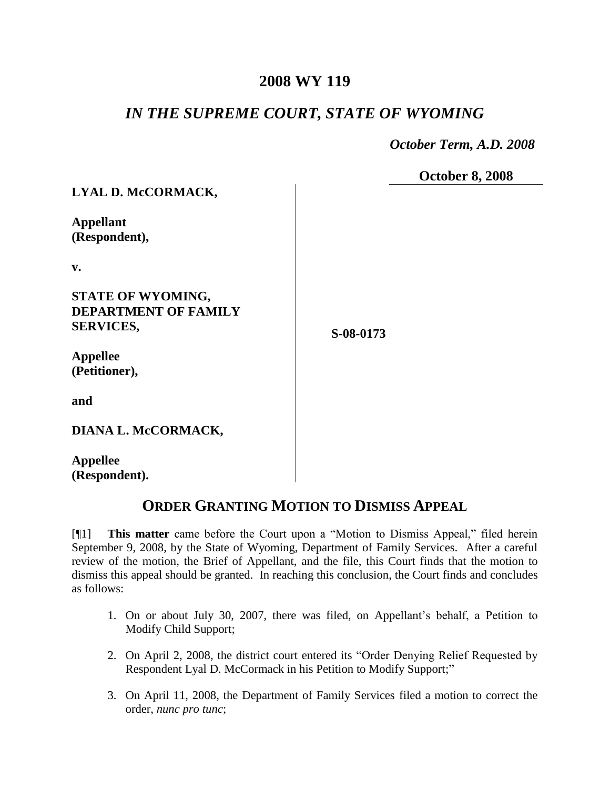## **2008 WY 119**

## *IN THE SUPREME COURT, STATE OF WYOMING*

 *October Term, A.D. 2008*

**October 8, 2008**

| LYAL D. McCORMACK,          |           |
|-----------------------------|-----------|
| <b>Appellant</b>            |           |
| (Respondent),               |           |
| v.                          |           |
| <b>STATE OF WYOMING,</b>    |           |
| <b>DEPARTMENT OF FAMILY</b> |           |
| <b>SERVICES,</b>            | S-08-0173 |
| <b>Appellee</b>             |           |
| (Petitioner),               |           |
| and                         |           |
| DIANA L. McCORMACK,         |           |

**Appellee (Respondent).**

## **ORDER GRANTING MOTION TO DISMISS APPEAL**

[¶1] **This matter** came before the Court upon a "Motion to Dismiss Appeal," filed herein September 9, 2008, by the State of Wyoming, Department of Family Services. After a careful review of the motion, the Brief of Appellant, and the file, this Court finds that the motion to dismiss this appeal should be granted. In reaching this conclusion, the Court finds and concludes as follows:

- 1. On or about July 30, 2007, there was filed, on Appellant's behalf, a Petition to Modify Child Support;
- 2. On April 2, 2008, the district court entered its "Order Denying Relief Requested by Respondent Lyal D. McCormack in his Petition to Modify Support;"
- 3. On April 11, 2008, the Department of Family Services filed a motion to correct the order, *nunc pro tunc*;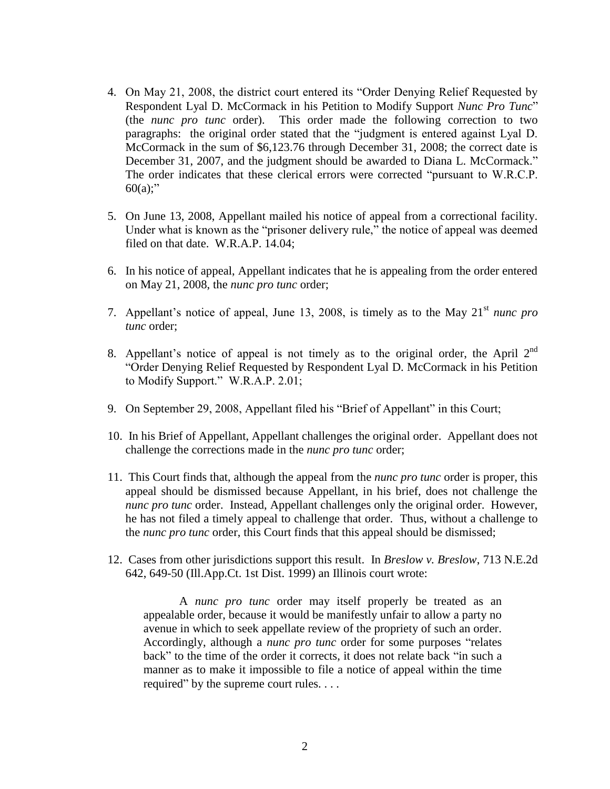- 4. On May 21, 2008, the district court entered its "Order Denying Relief Requested by Respondent Lyal D. McCormack in his Petition to Modify Support *Nunc Pro Tunc*" (the *nunc pro tunc* order). This order made the following correction to two paragraphs: the original order stated that the "judgment is entered against Lyal D. McCormack in the sum of \$6,123.76 through December 31, 2008; the correct date is December 31, 2007, and the judgment should be awarded to Diana L. McCormack." The order indicates that these clerical errors were corrected "pursuant to W.R.C.P.  $60(a)$ ;"
- 5. On June 13, 2008, Appellant mailed his notice of appeal from a correctional facility. Under what is known as the "prisoner delivery rule," the notice of appeal was deemed filed on that date. W.R.A.P. 14.04;
- 6. In his notice of appeal, Appellant indicates that he is appealing from the order entered on May 21, 2008, the *nunc pro tunc* order;
- 7. Appellant's notice of appeal, June 13, 2008, is timely as to the May 21<sup>st</sup> nunc pro *tunc* order;
- 8. Appellant's notice of appeal is not timely as to the original order, the April  $2^{nd}$ "Order Denying Relief Requested by Respondent Lyal D. McCormack in his Petition to Modify Support." W.R.A.P. 2.01;
- 9. On September 29, 2008, Appellant filed his "Brief of Appellant" in this Court;
- 10. In his Brief of Appellant, Appellant challenges the original order. Appellant does not challenge the corrections made in the *nunc pro tunc* order;
- 11. This Court finds that, although the appeal from the *nunc pro tunc* order is proper, this appeal should be dismissed because Appellant, in his brief, does not challenge the *nunc pro tunc* order. Instead, Appellant challenges only the original order. However, he has not filed a timely appeal to challenge that order. Thus, without a challenge to the *nunc pro tunc* order, this Court finds that this appeal should be dismissed;
- 12. Cases from other jurisdictions support this result. In *Breslow v. Breslow*, 713 N.E.2d 642, 649-50 (Ill.App.Ct. 1st Dist. 1999) an Illinois court wrote:

A *nunc pro tunc* order may itself properly be treated as an appealable order, because it would be manifestly unfair to allow a party no avenue in which to seek appellate review of the propriety of such an order. Accordingly, although a *nunc pro tunc* order for some purposes "relates back" to the time of the order it corrects, it does not relate back "in such a manner as to make it impossible to file a notice of appeal within the time required" by the supreme court rules. . . .